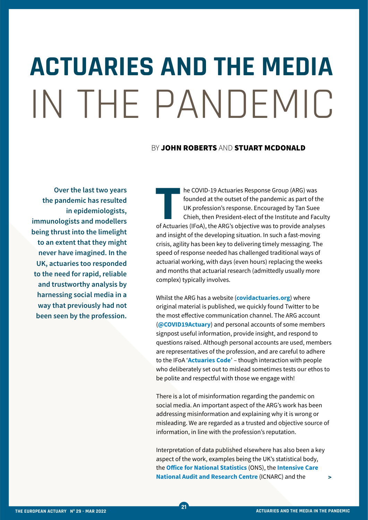## **ACTUARIES AND THE MEDIA**  IN THE PANDEMIC

## BY JOHN ROBERTS AND STUART MCDONALD

**Over the last two years the pandemic has resulted in epidemiologists, immunologists and modellers being thrust into the limelight to an extent that they might never have imagined. In the UK, actuaries too responded to the need for rapid, reliable and trustworthy analysis by harnessing social media in a way that previously had not been seen by the profession.**

**T**he COVID-19 Actuaries Response Group (ARG) was of Actuaries (IFoA), the ARG's objective was to provide analyses founded at the outset of the pandemic as part of the UK profession's response. Encouraged by Tan Suee Chieh, then President-elect of the Institute and Faculty and insight of the developing situation. In such a fast-moving crisis, agility has been key to delivering timely messaging. The speed of response needed has challenged traditional ways of actuarial working, with days (even hours) replacing the weeks and months that actuarial research (admittedly usually more complex) typically involves.

Whilst the ARG has a website (**[covidactuaries.org](https://covidactuaries.org/)**) where original material is published, we quickly found Twitter to be the most effective communication channel. The ARG account (**[@COVID19Actuary](https://twitter.com/covid19actuary)**) and personal accounts of some members signpost useful information, provide insight, and respond to questions raised. Although personal accounts are used, members are representatives of the profession, and are careful to adhere to the IFoA '**[Actuaries Code](https://www.actuaries.org.uk/upholding-standards/standards-and-guidance/actuaries-code)**' – though interaction with people who deliberately set out to mislead sometimes tests our ethos to be polite and respectful with those we engage with!

There is a lot of misinformation regarding the pandemic on social media. An important aspect of the ARG's work has been addressing misinformation and explaining why it is wrong or misleading. We are regarded as a trusted and objective source of information, in line with the profession's reputation.

Interpretation of data published elsewhere has also been a key aspect of the work, examples being the UK's statistical body, the **[Office for National Statistics](https://www.ons.gov.uk/)** (ONS), the **[Intensive Care](https://www.icnarc.org/Our-Audit/Audits/Cmp/Reports)  [National Audit and Research Centre](https://www.icnarc.org/Our-Audit/Audits/Cmp/Reports)** (ICNARC) and the

**>**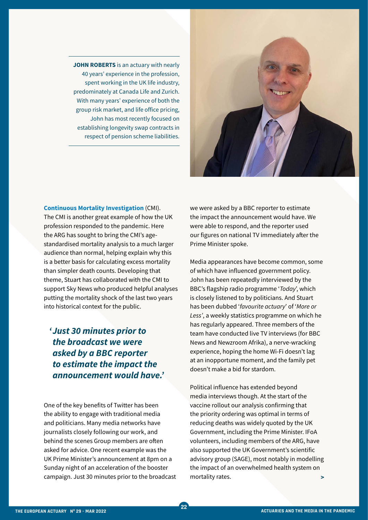**JOHN ROBERTS** is an actuary with nearly 40 years' experience in the profession, spent working in the UK life industry, predominately at Canada Life and Zurich. With many years' experience of both the group risk market, and life office pricing, John has most recently focused on establishing longevity swap contracts in respect of pension scheme liabilities.



## **[Continuous Mortality Investigation](https://www.actuaries.org.uk/learn-and-develop/continuous-mortality-investigation/about-cmi)** (CMI).

The CMI is another great example of how the UK profession responded to the pandemic. Here the ARG has sought to bring the CMI's agestandardised mortality analysis to a much larger audience than normal, helping explain why this is a better basis for calculating excess mortality than simpler death counts. Developing that theme, Stuart has collaborated with the CMI to support Sky News who produced helpful analyses putting the mortality shock of the last two years into historical context for the public.

## *'Just 30 minutes prior to the broadcast we were asked by a BBC reporter to estimate the impact the announcement would have.'*

One of the key benefits of Twitter has been the ability to engage with traditional media and politicians. Many media networks have journalists closely following our work, and behind the scenes Group members are often asked for advice. One recent example was the UK Prime Minister's announcement at 8pm on a Sunday night of an acceleration of the booster campaign. Just 30 minutes prior to the broadcast we were asked by a BBC reporter to estimate the impact the announcement would have. We were able to respond, and the reporter used our figures on national TV immediately after the Prime Minister spoke.

Media appearances have become common, some of which have influenced government policy. John has been repeatedly interviewed by the BBC's flagship radio programme '*Today*', which is closely listened to by politicians. And Stuart has been dubbed '*favourite actuary*' of '*More or Less'*, a weekly statistics programme on which he has regularly appeared. Three members of the team have conducted live TV interviews (for BBC News and Newzroom Afrika), a nerve-wracking experience, hoping the home Wi-Fi doesn't lag at an inopportune moment, and the family pet doesn't make a bid for stardom.

Political influence has extended beyond media interviews though. At the start of the vaccine rollout our analysis confirming that the priority ordering was optimal in terms of reducing deaths was widely quoted by the UK Government, including the Prime Minister. IFoA volunteers, including members of the ARG, have also supported the UK Government's scientific advisory group (SAGE), most notably in modelling the impact of an overwhelmed health system on mortality rates. **>**